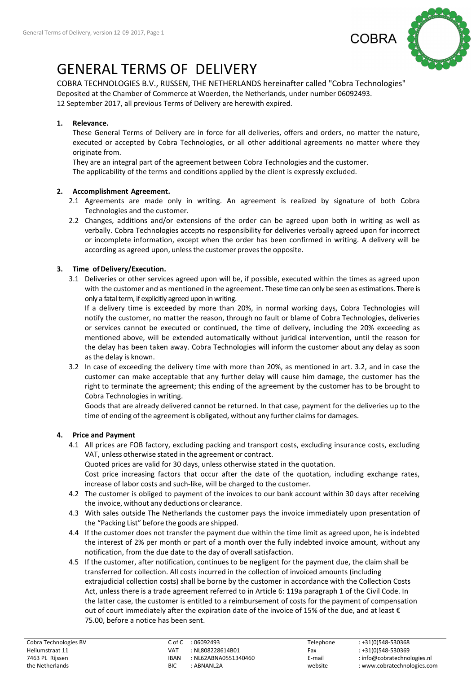

# GENERAL TERMS OF DELIVERY

COBRA TECHNOLOGIES B.V., RIJSSEN, THE NETHERLANDS hereinafter called "Cobra Technologies" Deposited at the Chamber of Commerce at Woerden, the Netherlands, under number 06092493. 12 September 2017, all previous Terms of Delivery are herewith expired.

## 1. Relevance.

These General Terms of Delivery are in force for all deliveries, offers and orders, no matter the nature, executed or accepted by Cobra Technologies, or all other additional agreements no matter where they originate from.

They are an integral part of the agreement between Cobra Technologies and the customer. The applicability of the terms and conditions applied by the client is expressly excluded.

## 2. Accomplishment Agreement.

- 2.1 Agreements are made only in writing. An agreement is realized by signature of both Cobra Technologies and the customer.
- 2.2 Changes, additions and/or extensions of the order can be agreed upon both in writing as well as verbally. Cobra Technologies accepts no responsibility for deliveries verbally agreed upon for incorrect or incomplete information, except when the order has been confirmed in writing. A delivery will be according as agreed upon, unless the customer proves the opposite.

# 3. Time of Delivery/Execution.

3.1 Deliveries or other services agreed upon will be, if possible, executed within the times as agreed upon with the customer and as mentioned in the agreement. These time can only be seen as estimations. There is only a fatal term, if explicitly agreed upon in writing.

If a delivery time is exceeded by more than 20%, in normal working days, Cobra Technologies will notify the customer, no matter the reason, through no fault or blame of Cobra Technologies, deliveries or services cannot be executed or continued, the time of delivery, including the 20% exceeding as mentioned above, will be extended automatically without juridical intervention, until the reason for the delay has been taken away. Cobra Technologies will inform the customer about any delay as soon as the delay is known.

3.2 In case of exceeding the delivery time with more than 20%, as mentioned in art. 3.2, and in case the customer can make acceptable that any further delay will cause him damage, the customer has the right to terminate the agreement; this ending of the agreement by the customer has to be brought to Cobra Technologies in writing.

Goods that are already delivered cannot be returned. In that case, payment for the deliveries up to the time of ending of the agreement is obligated, without any further claims for damages.

# 4. Price and Payment

4.1 All prices are FOB factory, excluding packing and transport costs, excluding insurance costs, excluding VAT, unless otherwise stated in the agreement or contract.

Quoted prices are valid for 30 days, unless otherwise stated in the quotation.

Cost price increasing factors that occur after the date of the quotation, including exchange rates, increase of labor costs and such-like, will be charged to the customer.

- 4.2 The customer is obliged to payment of the invoices to our bank account within 30 days after receiving the invoice, without any deductions or clearance.
- 4.3 With sales outside The Netherlands the customer pays the invoice immediately upon presentation of the "Packing List" before the goods are shipped.
- 4.4 If the customer does not transfer the payment due within the time limit as agreed upon, he is indebted the interest of 2% per month or part of a month over the fully indebted invoice amount, without any notification, from the due date to the day of overall satisfaction.
- 4.5 If the customer, after notification, continues to be negligent for the payment due, the claim shall be transferred for collection. All costs incurred in the collection of invoiced amounts (including extrajudicial collection costs) shall be borne by the customer in accordance with the Collection Costs Act, unless there is a trade agreement referred to in Article 6: 119a paragraph 1 of the Civil Code. In the latter case, the customer is entitled to a reimbursement of costs for the payment of compensation out of court immediately after the expiration date of the invoice of 15% of the due, and at least € 75.00, before a notice has been sent.

| Cobra Technologies BV | C of C      | : 06092493           | Telephone | $: +31(0)548 - 530368$      |
|-----------------------|-------------|----------------------|-----------|-----------------------------|
| Heliumstraat 11       | VAT         | : NL808228614B01     | Fax       | : +31(0)548-530369          |
| 7463 PL Rijssen       | <b>IBAN</b> | : NL62ABNA0551340460 | E-mail    | : info@cobratechnologies.nl |
| the Netherlands       | BIC         | : ABNANL2A           | website   | : www.cobratechnologies.com |
|                       |             |                      |           |                             |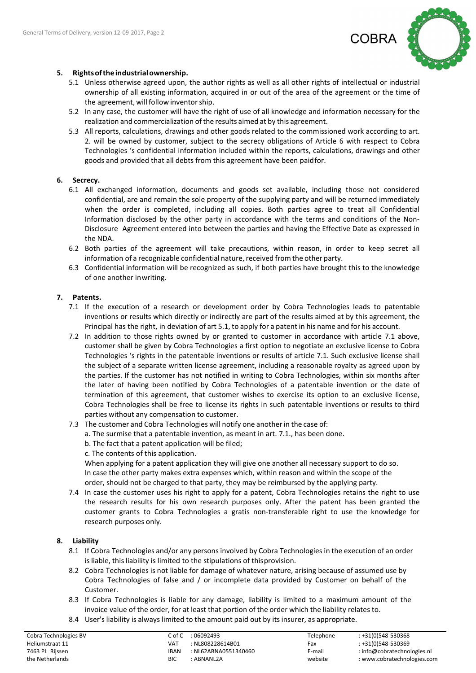

## 5. Rights of the industrial ownership.

- 5.1 Unless otherwise agreed upon, the author rights as well as all other rights of intellectual or industrial ownership of all existing information, acquired in or out of the area of the agreement or the time of the agreement, will follow inventor ship.
- 5.2 In any case, the customer will have the right of use of all knowledge and information necessary for the realization and commercialization of the results aimed at by this agreement.
- 5.3 All reports, calculations, drawings and other goods related to the commissioned work according to art. 2. will be owned by customer, subject to the secrecy obligations of Article 6 with respect to Cobra Technologies 's confidential information included within the reports, calculations, drawings and other goods and provided that all debts from this agreement have been paid for.

### 6. Secrecy.

- 6.1 All exchanged information, documents and goods set available, including those not considered confidential, are and remain the sole property of the supplying party and will be returned immediately when the order is completed, including all copies. Both parties agree to treat all Confidential Information disclosed by the other party in accordance with the terms and conditions of the Non-Disclosure Agreement entered into between the parties and having the Effective Date as expressed in the NDA.
- 6.2 Both parties of the agreement will take precautions, within reason, in order to keep secret all information of a recognizable confidential nature, received from the other party.
- 6.3 Confidential information will be recognized as such, if both parties have brought this to the knowledge of one another in writing.

### 7. Patents.

- 7.1 If the execution of a research or development order by Cobra Technologies leads to patentable inventions or results which directly or indirectly are part of the results aimed at by this agreement, the Principal has the right, in deviation of art 5.1, to apply for a patent in his name and for his account.
- 7.2 In addition to those rights owned by or granted to customer in accordance with article 7.1 above, customer shall be given by Cobra Technologies a first option to negotiate an exclusive license to Cobra Technologies 's rights in the patentable inventions or results of article 7.1. Such exclusive license shall the subject of a separate written license agreement, including a reasonable royalty as agreed upon by the parties. If the customer has not notified in writing to Cobra Technologies, within six months after the later of having been notified by Cobra Technologies of a patentable invention or the date of termination of this agreement, that customer wishes to exercise its option to an exclusive license, Cobra Technologies shall be free to license its rights in such patentable inventions or results to third parties without any compensation to customer.

#### 7.3 The customer and Cobra Technologies will notify one another in the case of:

- a. The surmise that a patentable invention, as meant in art. 7.1., has been done.
- b. The fact that a patent application will be filed;
- c. The contents of this application.

When applying for a patent application they will give one another all necessary support to do so. In case the other party makes extra expenses which, within reason and within the scope of the order, should not be charged to that party, they may be reimbursed by the applying party.

7.4 In case the customer uses his right to apply for a patent, Cobra Technologies retains the right to use the research results for his own research purposes only. After the patent has been granted the customer grants to Cobra Technologies a gratis non-transferable right to use the knowledge for research purposes only.

#### 8. Liability

- 8.1 If Cobra Technologies and/or any persons involved by Cobra Technologies in the execution of an order is liable, this liability is limited to the stipulations of this provision.
- 8.2 Cobra Technologies is not liable for damage of whatever nature, arising because of assumed use by Cobra Technologies of false and / or incomplete data provided by Customer on behalf of the Customer.
- 8.3 If Cobra Technologies is liable for any damage, liability is limited to a maximum amount of the invoice value of the order, for at least that portion of the order which the liability relates to.
- 8.4 User's liability is always limited to the amount paid out by its insurer, as appropriate.

| Cobra Technologies BV | C of C      | :06092493            | Telephone | $: +31(0)548 - 530368$      |
|-----------------------|-------------|----------------------|-----------|-----------------------------|
| Heliumstraat 11       | VAT         | : NL808228614B01     | Fax       | : +31(0)548-530369          |
| 7463 PL Rijssen       | <b>IBAN</b> | : NL62ABNA0551340460 | E-mail    | : info@cobratechnologies.nl |
| the Netherlands       | <b>BIC</b>  | : ABNANL2A           | website   | : www.cobratechnologies.com |
|                       |             |                      |           |                             |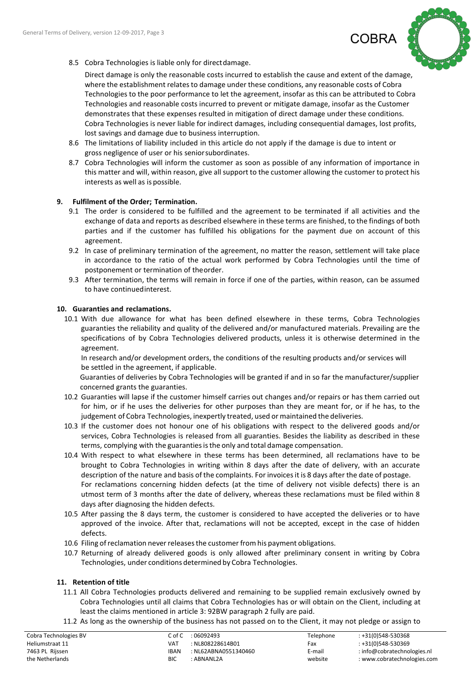

8.5 Cobra Technologies is liable only for direct damage.

Direct damage is only the reasonable costs incurred to establish the cause and extent of the damage, where the establishment relates to damage under these conditions, any reasonable costs of Cobra Technologies to the poor performance to let the agreement, insofar as this can be attributed to Cobra Technologies and reasonable costs incurred to prevent or mitigate damage, insofar as the Customer demonstrates that these expenses resulted in mitigation of direct damage under these conditions. Cobra Technologies is never liable for indirect damages, including consequential damages, lost profits, lost savings and damage due to business interruption.

- 8.6 The limitations of liability included in this article do not apply if the damage is due to intent or gross negligence of user or his senior subordinates.
- 8.7 Cobra Technologies will inform the customer as soon as possible of any information of importance in this matter and will, within reason, give all support to the customer allowing the customer to protect his interests as well as is possible.

### 9. Fulfilment of the Order; Termination.

- 9.1 The order is considered to be fulfilled and the agreement to be terminated if all activities and the exchange of data and reports as described elsewhere in these terms are finished, to the findings of both parties and if the customer has fulfilled his obligations for the payment due on account of this agreement.
- 9.2 In case of preliminary termination of the agreement, no matter the reason, settlement will take place in accordance to the ratio of the actual work performed by Cobra Technologies until the time of postponement or termination of the order.
- 9.3 After termination, the terms will remain in force if one of the parties, within reason, can be assumed to have continued interest.

### 10. Guaranties and reclamations.

10.1 With due allowance for what has been defined elsewhere in these terms, Cobra Technologies guaranties the reliability and quality of the delivered and/or manufactured materials. Prevailing are the specifications of by Cobra Technologies delivered products, unless it is otherwise determined in the agreement.

In research and/or development orders, the conditions of the resulting products and/or services will be settled in the agreement, if applicable.

Guaranties of deliveries by Cobra Technologies will be granted if and in so far the manufacturer/supplier concerned grants the guaranties.

- 10.2 Guaranties will lapse if the customer himself carries out changes and/or repairs or has them carried out for him, or if he uses the deliveries for other purposes than they are meant for, or if he has, to the judgement of Cobra Technologies, inexpertly treated, used or maintained the deliveries.
- 10.3 If the customer does not honour one of his obligations with respect to the delivered goods and/or services, Cobra Technologies is released from all guaranties. Besides the liability as described in these terms, complying with the guaranties is the only and total damage compensation.
- 10.4 With respect to what elsewhere in these terms has been determined, all reclamations have to be brought to Cobra Technologies in writing within 8 days after the date of delivery, with an accurate description of the nature and basis of the complaints. For invoices it is 8 days after the date of postage. For reclamations concerning hidden defects (at the time of delivery not visible defects) there is an utmost term of 3 months after the date of delivery, whereas these reclamations must be filed within 8 days after diagnosing the hidden defects.
- 10.5 After passing the 8 days term, the customer is considered to have accepted the deliveries or to have approved of the invoice. After that, reclamations will not be accepted, except in the case of hidden defects.
- 10.6 Filing of reclamation never releases the customer from his payment obligations.
- 10.7 Returning of already delivered goods is only allowed after preliminary consent in writing by Cobra Technologies, under conditions determined by Cobra Technologies.

## 11. Retention of title

- 11.1 All Cobra Technologies products delivered and remaining to be supplied remain exclusively owned by Cobra Technologies until all claims that Cobra Technologies has or will obtain on the Client, including at least the claims mentioned in article 3: 92BW paragraph 2 fully are paid.
- 11.2 As long as the ownership of the business has not passed on to the Client, it may not pledge or assign to

| Cobra Technologies I |
|----------------------|
| Heliumstraat 11      |
| 7463 PL Rijssen      |
| the Netherlands      |